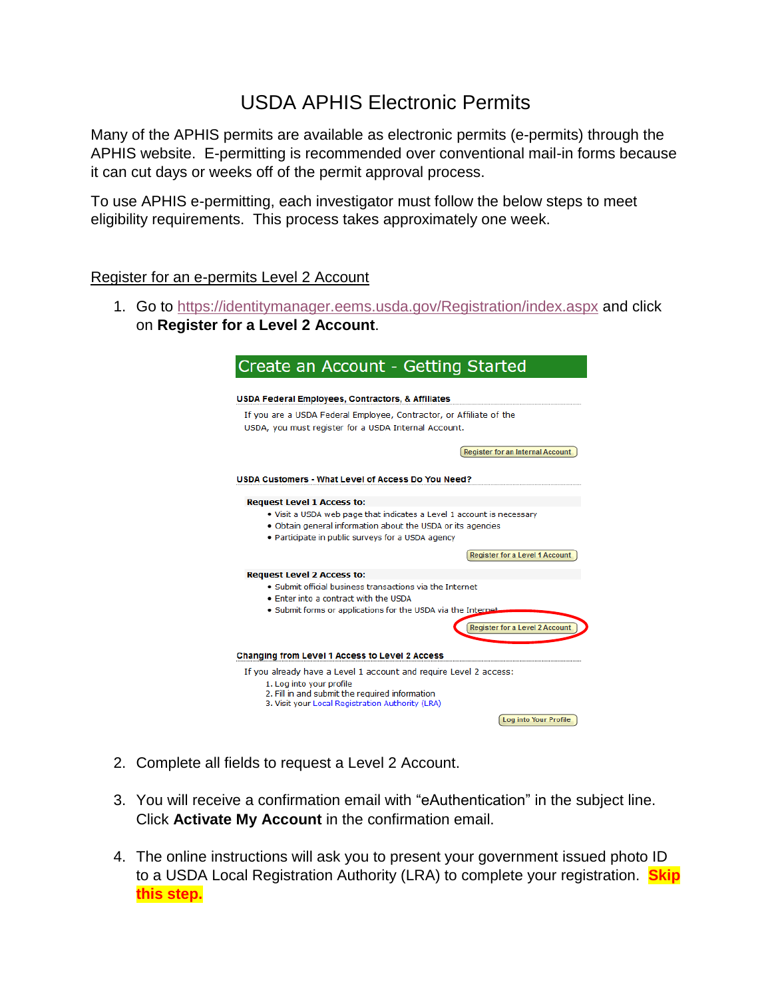## USDA APHIS Electronic Permits

Many of the APHIS permits are available as electronic permits (e-permits) through the APHIS website. E-permitting is recommended over conventional mail-in forms because it can cut days or weeks off of the permit approval process.

To use APHIS e-permitting, each investigator must follow the below steps to meet eligibility requirements. This process takes approximately one week.

## Register for an e-permits Level 2 Account

1. Go to<https://identitymanager.eems.usda.gov/Registration/index.aspx> and click on **Register for a Level 2 Account**.

| Create an Account - Getting Started<br><b>USDA Federal Employees, Contractors, &amp; Affiliates</b>                                                                                       |                                         |
|-------------------------------------------------------------------------------------------------------------------------------------------------------------------------------------------|-----------------------------------------|
|                                                                                                                                                                                           |                                         |
|                                                                                                                                                                                           |                                         |
|                                                                                                                                                                                           | <b>Register for an Internal Account</b> |
| USDA Customers - What Level of Access Do You Need?                                                                                                                                        |                                         |
| <b>Request Level 1 Access to:</b>                                                                                                                                                         |                                         |
| . Visit a USDA web page that indicates a Level 1 account is necessary<br>. Obtain general information about the USDA or its agencies<br>• Participate in public surveys for a USDA agency |                                         |
|                                                                                                                                                                                           | <b>Register for a Level 1 Account</b>   |
| <b>Request Level 2 Access to:</b>                                                                                                                                                         |                                         |
| • Submit official business transactions via the Internet                                                                                                                                  |                                         |
| . Enter into a contract with the USDA<br>• Submit forms or applications for the USDA via the Internet                                                                                     |                                         |
|                                                                                                                                                                                           | <b>Register for a Level 2 Account</b>   |
|                                                                                                                                                                                           |                                         |
| Changing from Level 1 Access to Level 2 Access                                                                                                                                            |                                         |
| If you already have a Level 1 account and require Level 2 access:                                                                                                                         |                                         |
| 1. Log into your profile<br>2. Fill in and submit the required information<br>3. Visit your Local Registration Authority (LRA)                                                            |                                         |
|                                                                                                                                                                                           | <b>Log into Your Profile</b>            |

- 2. Complete all fields to request a Level 2 Account.
- 3. You will receive a confirmation email with "eAuthentication" in the subject line. Click **Activate My Account** in the confirmation email.
- 4. The online instructions will ask you to present your government issued photo ID to a USDA Local Registration Authority (LRA) to complete your registration. **Skip this step.**